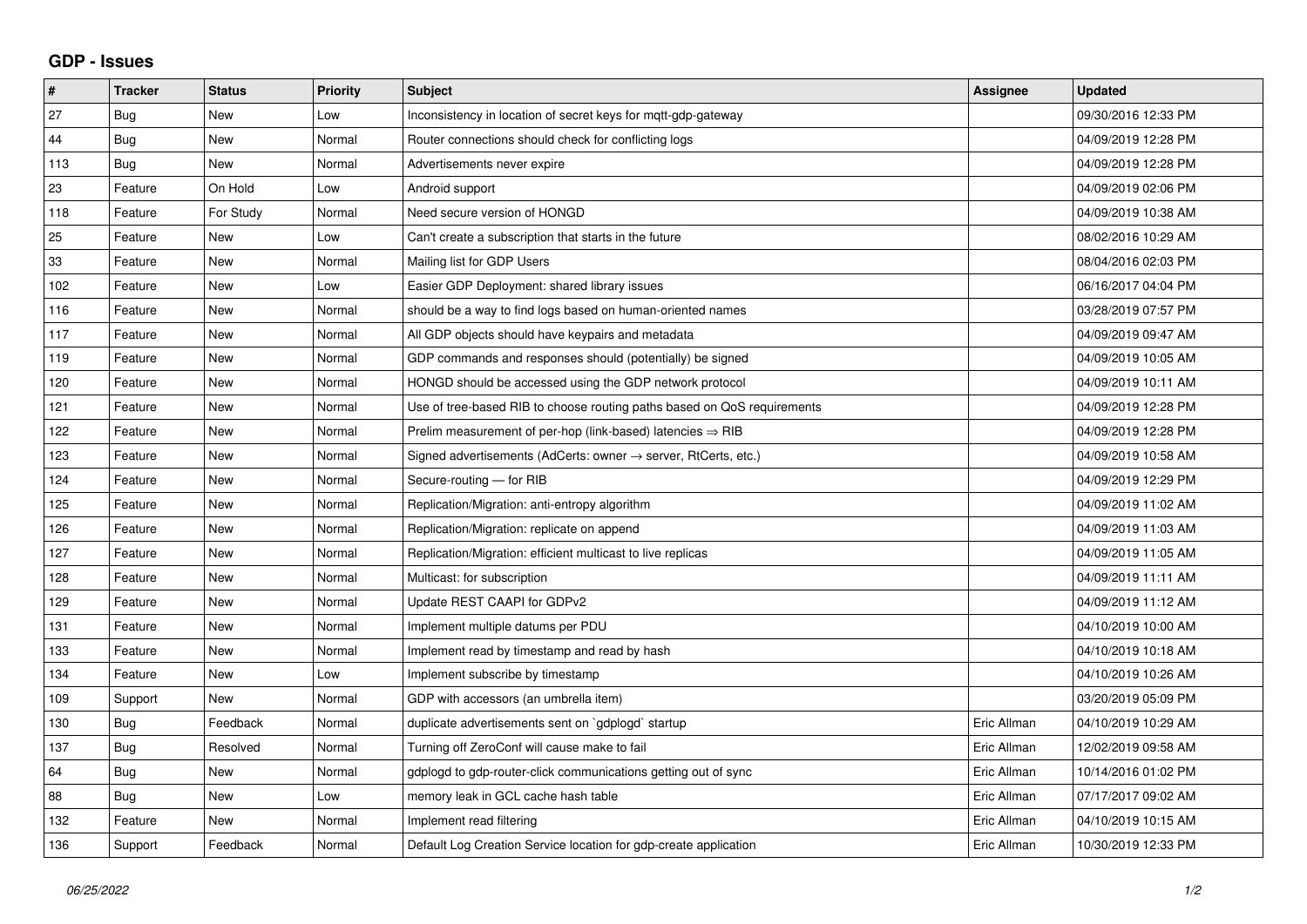## **GDP - Issues**

| #   | <b>Tracker</b> | <b>Status</b> | <b>Priority</b> | <b>Subject</b>                                                          | Assignee    | <b>Updated</b>      |
|-----|----------------|---------------|-----------------|-------------------------------------------------------------------------|-------------|---------------------|
| 27  | Bug            | New           | Low             | Inconsistency in location of secret keys for mqtt-gdp-gateway           |             | 09/30/2016 12:33 PM |
| 44  | <b>Bug</b>     | <b>New</b>    | Normal          | Router connections should check for conflicting logs                    |             | 04/09/2019 12:28 PM |
| 113 | Bug            | <b>New</b>    | Normal          | Advertisements never expire                                             |             | 04/09/2019 12:28 PM |
| 23  | Feature        | On Hold       | Low             | Android support                                                         |             | 04/09/2019 02:06 PM |
| 118 | Feature        | For Study     | Normal          | Need secure version of HONGD                                            |             | 04/09/2019 10:38 AM |
| 25  | Feature        | <b>New</b>    | Low             | Can't create a subscription that starts in the future                   |             | 08/02/2016 10:29 AM |
| 33  | Feature        | <b>New</b>    | Normal          | Mailing list for GDP Users                                              |             | 08/04/2016 02:03 PM |
| 102 | Feature        | New           | Low             | Easier GDP Deployment: shared library issues                            |             | 06/16/2017 04:04 PM |
| 116 | Feature        | <b>New</b>    | Normal          | should be a way to find logs based on human-oriented names              |             | 03/28/2019 07:57 PM |
| 117 | Feature        | <b>New</b>    | Normal          | All GDP objects should have keypairs and metadata                       |             | 04/09/2019 09:47 AM |
| 119 | Feature        | <b>New</b>    | Normal          | GDP commands and responses should (potentially) be signed               |             | 04/09/2019 10:05 AM |
| 120 | Feature        | <b>New</b>    | Normal          | HONGD should be accessed using the GDP network protocol                 |             | 04/09/2019 10:11 AM |
| 121 | Feature        | <b>New</b>    | Normal          | Use of tree-based RIB to choose routing paths based on QoS requirements |             | 04/09/2019 12:28 PM |
| 122 | Feature        | New           | Normal          | Prelim measurement of per-hop (link-based) latencies $\Rightarrow$ RIB  |             | 04/09/2019 12:28 PM |
| 123 | Feature        | <b>New</b>    | Normal          | Signed advertisements (AdCerts: owner → server, RtCerts, etc.)          |             | 04/09/2019 10:58 AM |
| 124 | Feature        | <b>New</b>    | Normal          | Secure-routing - for RIB                                                |             | 04/09/2019 12:29 PM |
| 125 | Feature        | <b>New</b>    | Normal          | Replication/Migration: anti-entropy algorithm                           |             | 04/09/2019 11:02 AM |
| 126 | Feature        | New           | Normal          | Replication/Migration: replicate on append                              |             | 04/09/2019 11:03 AM |
| 127 | Feature        | <b>New</b>    | Normal          | Replication/Migration: efficient multicast to live replicas             |             | 04/09/2019 11:05 AM |
| 128 | Feature        | <b>New</b>    | Normal          | Multicast: for subscription                                             |             | 04/09/2019 11:11 AM |
| 129 | Feature        | <b>New</b>    | Normal          | Update REST CAAPI for GDPv2                                             |             | 04/09/2019 11:12 AM |
| 131 | Feature        | <b>New</b>    | Normal          | Implement multiple datums per PDU                                       |             | 04/10/2019 10:00 AM |
| 133 | Feature        | <b>New</b>    | Normal          | Implement read by timestamp and read by hash                            |             | 04/10/2019 10:18 AM |
| 134 | Feature        | <b>New</b>    | Low             | Implement subscribe by timestamp                                        |             | 04/10/2019 10:26 AM |
| 109 | Support        | <b>New</b>    | Normal          | GDP with accessors (an umbrella item)                                   |             | 03/20/2019 05:09 PM |
| 130 | <b>Bug</b>     | Feedback      | Normal          | duplicate advertisements sent on `gdplogd` startup                      | Eric Allman | 04/10/2019 10:29 AM |
| 137 | <b>Bug</b>     | Resolved      | Normal          | Turning off ZeroConf will cause make to fail                            | Eric Allman | 12/02/2019 09:58 AM |
| 64  | <b>Bug</b>     | <b>New</b>    | Normal          | gdplogd to gdp-router-click communications getting out of sync          | Eric Allman | 10/14/2016 01:02 PM |
| 88  | <b>Bug</b>     | <b>New</b>    | Low             | memory leak in GCL cache hash table                                     | Eric Allman | 07/17/2017 09:02 AM |
| 132 | Feature        | <b>New</b>    | Normal          | Implement read filtering                                                | Eric Allman | 04/10/2019 10:15 AM |
| 136 | Support        | Feedback      | Normal          | Default Log Creation Service location for gdp-create application        | Eric Allman | 10/30/2019 12:33 PM |